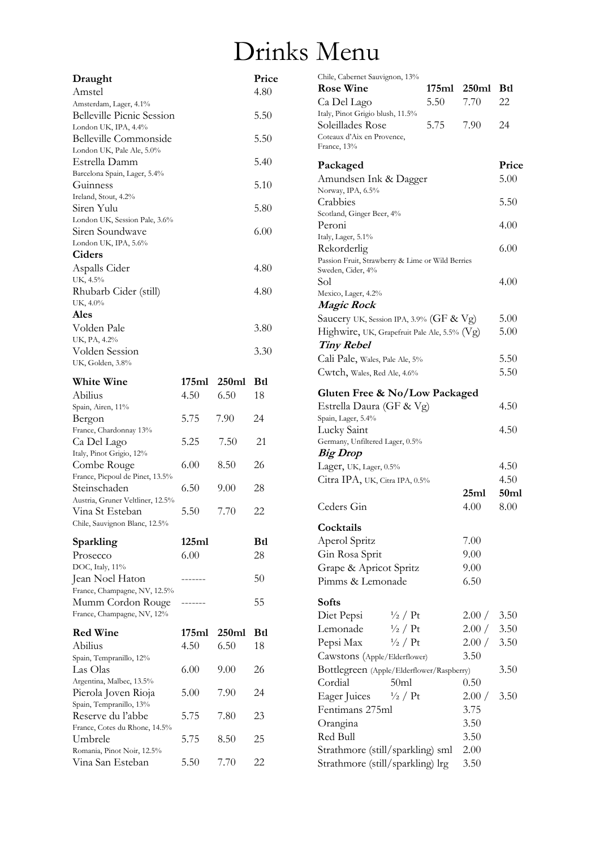## Drinks Menu

| Draught                                          |       |       | Price      |
|--------------------------------------------------|-------|-------|------------|
| Amstel                                           |       |       | 4.80       |
| Amsterdam, Lager, 4.1%                           |       |       |            |
| <b>Belleville Picnic Session</b>                 |       |       | 5.50       |
| London UK, IPA, 4.4%<br>Belleville Commonside    |       |       | 5.50       |
| London UK, Pale Ale, 5.0%                        |       |       |            |
| Estrella Damm<br>Barcelona Spain, Lager, 5.4%    |       |       | 5.40       |
| Guinness                                         |       |       | 5.10       |
| Ireland, Stout, 4.2%<br>Siren Yulu               |       |       | 5.80       |
| London UK, Session Pale, 3.6%                    |       |       |            |
| Siren Soundwave<br>London UK, IPA, 5.6%          |       |       | 6.00       |
| Ciders                                           |       |       |            |
| Aspalls Cider                                    |       |       | 4.80       |
| UK, 4.5%                                         |       |       |            |
| Rhubarb Cider (still)                            |       |       | 4.80       |
| UK, 4.0%<br>Ales                                 |       |       |            |
| Volden Pale                                      |       |       | 3.80       |
| UK, PA, 4.2%                                     |       |       |            |
| Volden Session                                   |       |       | 3.30       |
| UK, Golden, 3.8%                                 |       |       |            |
| White Wine                                       | 175ml | 250ml | <b>Btl</b> |
| Abilius                                          | 4.50  | 6.50  | 18         |
| Spain, Airen, 11%                                |       |       |            |
| Bergon                                           | 5.75  | 7.90  | 24         |
| France, Chardonnay 13%<br>Ca Del Lago            | 5.25  | 7.50  | 21         |
| Italy, Pinot Grigio, 12%                         |       |       |            |
| Combe Rouge                                      | 6.00  | 8.50  | 26         |
| France, Picpoul de Pinet, 13.5%                  |       |       |            |
| Steinschaden                                     | 6.50  | 9.00  | 28         |
| Austria, Gruner Veltliner, 12.5%                 | 5.50  |       | 22         |
| Vina St Esteban<br>Chile, Sauvignon Blanc, 12.5% |       | 7.70  |            |
|                                                  |       |       |            |
| Sparkling                                        | 125ml |       | Btl        |
| Prosecco                                         | 6.00  |       | 28         |
| DOC, Italy, 11%<br>Jean Noel Haton               |       |       | 50         |
| France, Champagne, NV, 12.5%                     |       |       |            |
| Mumm Cordon Rouge                                |       |       | 55         |
| France, Champagne, NV, 12%                       |       |       |            |
| <b>Red Wine</b>                                  | 175ml | 250ml | Btl        |
| Abilius                                          | 4.50  | 6.50  | 18         |
| Spain, Tempranillo, 12%                          |       |       |            |
| Las Olas                                         | 6.00  | 9.00  | 26         |
| Argentina, Malbec, 13.5%                         |       |       |            |
| Pierola Joven Rioja<br>Spain, Tempranillo, 13%   | 5.00  | 7.90  | 24         |
| Reserve du l'abbe                                | 5.75  | 7.80  | 23         |
| France, Cotes du Rhone, 14.5%                    |       |       |            |
| Umbrele                                          | 5.75  | 8.50  | 25         |
| Romania, Pinot Noir, 12.5%<br>Vina San Esteban   | 5.50  | 7.70  | 22         |

| Chile, Cabernet Sauvignon, 13%                   |      |             |                  |
|--------------------------------------------------|------|-------------|------------------|
| <b>Rose Wine</b>                                 |      | 175ml 250ml | <b>Btl</b>       |
| Ca Del Lago                                      | 5.50 | 7.70        | 22               |
| Italy, Pinot Grigio blush, 11.5%                 |      |             |                  |
| Soleillades Rose                                 | 5.75 | 7.90        | 24               |
| Coteaux d'Aix en Provence,                       |      |             |                  |
| France, 13%                                      |      |             |                  |
| Packaged                                         |      |             | Price            |
| Amundsen Ink & Dagger                            |      |             | 5.00             |
| Norway, IPA, 6.5%                                |      |             |                  |
| Crabbies                                         |      |             | 5.50             |
| Scotland, Ginger Beer, 4%                        |      |             |                  |
| Peroni                                           |      |             | 4.00             |
| Italy, Lager, 5.1%                               |      |             |                  |
| Rekorderlig                                      |      |             | 6.00             |
| Passion Fruit, Strawberry & Lime or Wild Berries |      |             |                  |
| Sweden, Cider, 4%                                |      |             |                  |
| Sol                                              |      |             | 4.00             |
| Mexico, Lager, 4.2%                              |      |             |                  |
| <i><b>Magic Rock</b></i>                         |      |             |                  |
| Saucery UK, Session IPA, 3.9% (GF & Vg)          |      |             | 5.00             |
| Highwire, UK, Grapefruit Pale Ale, 5.5% (Vg)     |      |             | 5.00             |
| <b>Tiny Rebel</b>                                |      |             |                  |
| Cali Pale, Wales, Pale Ale, 5%                   |      |             | 5.50             |
|                                                  |      |             | 5.50             |
| Cwtch, Wales, Red Ale, 4.6%                      |      |             |                  |
| Gluten Free & No/Low Packaged                    |      |             |                  |
| Estrella Daura (GF & Vg)                         |      |             | 4.50             |
| Spain, Lager, 5.4%                               |      |             |                  |
| Lucky Saint                                      |      |             | 4.50             |
| Germany, Unfiltered Lager, 0.5%                  |      |             |                  |
| <b>Big Drop</b>                                  |      |             |                  |
| Lager, UK, Lager, 0.5%                           |      |             | 4.50             |
| Citra IPA, UK, Citra IPA, 0.5%                   |      |             | 4.50             |
|                                                  |      | 25ml        | 50 <sub>ml</sub> |
| Ceders Gin                                       |      | 4.00        | 8.00             |
|                                                  |      |             |                  |
| Cocktails                                        |      |             |                  |
| Aperol Spritz                                    |      | 7.00        |                  |
| Gin Rosa Sprit                                   |      | 9.00        |                  |
|                                                  |      |             |                  |
| Grape & Apricot Spritz                           |      | 9.00        |                  |
| Pimms & Lemonade                                 |      | 6.50        |                  |
| <b>Softs</b>                                     |      |             |                  |
| $\frac{1}{2}$ / Pt                               |      | 2.00 /      | 3.50             |
| Diet Pepsi                                       |      |             |                  |
| Lemonade<br>$\frac{1}{2}$ / Pt                   |      | 2.00 /      | 3.50             |
| $\frac{1}{2}$ / Pt<br>Pepsi Max                  |      | 2.00 /      | 3.50             |
| Cawstons (Apple/Elderflower)                     |      | 3.50        |                  |
| Bottlegreen (Apple/Elderflower/Raspberry)        |      |             | 3.50             |
| Cordial<br>50ml                                  |      | 0.50        |                  |
| Eager Juices $\frac{1}{2}$ / Pt                  |      | 2.00 /      | 3.50             |
| Fentimans 275ml                                  |      | 3.75        |                  |
| Orangina                                         |      | 3.50        |                  |
| Red Bull                                         |      |             |                  |
|                                                  |      | 3.50        |                  |
| Strathmore (still/sparkling) sml                 |      | 2.00        |                  |
| Strathmore (still/sparkling) lrg                 |      | 3.50        |                  |